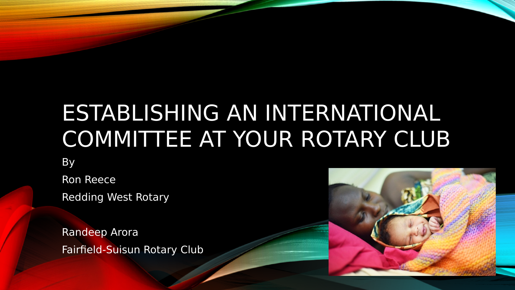# ESTABLISHING AN INTERNATIONAL COMMITTEE AT YOUR ROTARY CLUB

By

Ron Reece

Redding West Rotary

Randeep Arora Fairfield-Suisun Rotary Club

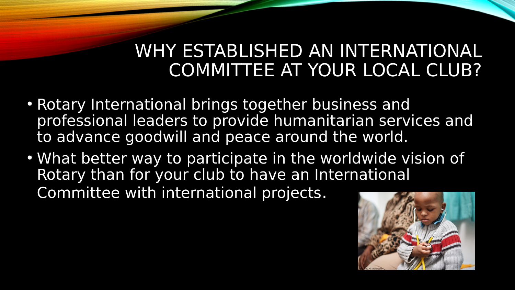# WHY ESTABLISHED AN INTERNATIONAL COMMITTEE AT YOUR LOCAL CLUB?

- Rotary International brings together business and professional leaders to provide humanitarian services and to advance goodwill and peace around the world.
- What better way to participate in the worldwide vision of Rotary than for your club to have an International Committee with international projects.

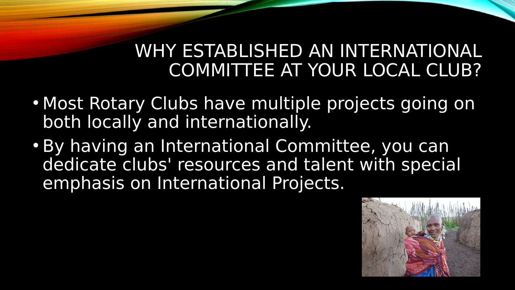# WHY ESTABLISHED AN INTERNATIONAL COMMITTEE AT YOUR LOCAL CLUB?

- Most Rotary Clubs have multiple projects going on both locally and internationally.
- By having an International Committee, you can dedicate clubs' resources and talent with special emphasis on International Projects.

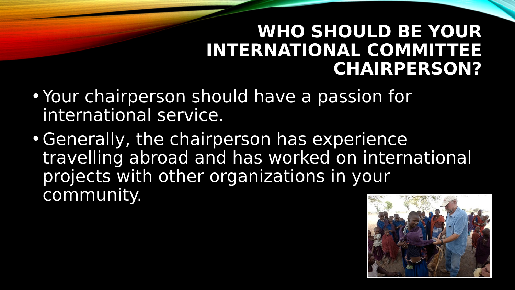### **WHO SHOULD BE YOUR INTERNATIONAL COMMITTEE CHAIRPERSON?**

- Your chairperson should have a passion for international service.
- Generally, the chairperson has experience travelling abroad and has worked on international projects with other organizations in your community.

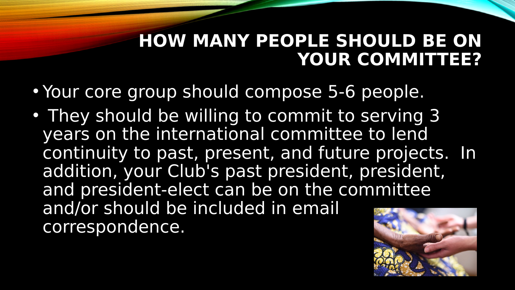# **HOW MANY PEOPLE SHOULD BE ON YOUR COMMITTEE?**

- Your core group should compose 5-6 people.
- They should be willing to commit to serving 3 years on the international committee to lend continuity to past, present, and future projects. In addition, your Club's past president, president, and president-elect can be on the committee and/or should be included in email correspondence.

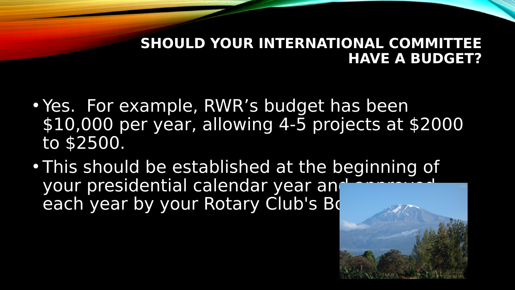#### **SHOULD YOUR INTERNATIONAL COMMITTEE HAVE A BUDGET?**

- Yes. For example, RWR's budget has been \$10,000 per year, allowing 4-5 projects at \$2000 to \$2500.
- This should be established at the beginning of your presidential calendar year and each year by your Rotary Club's Bo